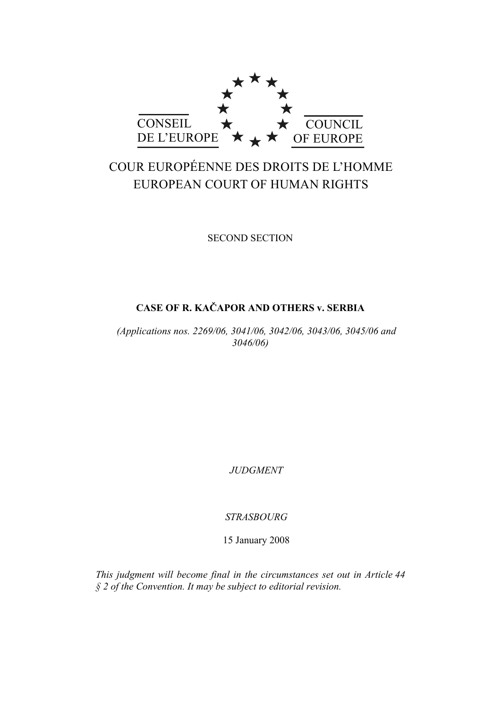

# COUR EUROPÉENNE DES DROITS DE L'HOMME EUROPEAN COURT OF HUMAN RIGHTS

SECOND SECTION

## **CASE OF R. KAČAPOR AND OTHERS v. SERBIA**

*(Applications nos. 2269/06, 3041/06, 3042/06, 3043/06, 3045/06 and 3046/06)* 

*JUDGMENT* 

*STRASBOURG* 

15 January 2008

*This judgment will become final in the circumstances set out in Article 44 § 2 of the Convention. It may be subject to editorial revision.*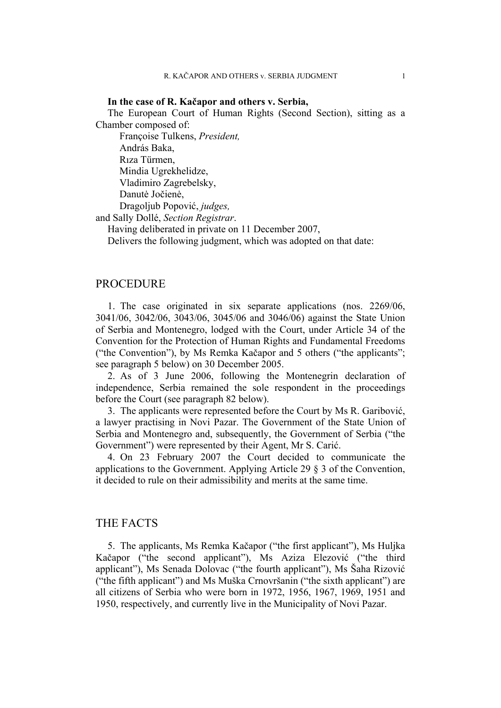### **In the case of R. Kačapor and others v. Serbia,**

The European Court of Human Rights (Second Section), sitting as a Chamber composed of:

 Françoise Tulkens, *President,*  András Baka, Rıza Türmen, Mindia Ugrekhelidze, Vladimiro Zagrebelsky, Danutė Jočienė, Dragoljub Popović, *judges,* 

and Sally Dollé, *Section Registrar*.

Having deliberated in private on 11 December 2007,

Delivers the following judgment, which was adopted on that date:

### PROCEDURE

1. The case originated in six separate applications (nos. 2269/06, 3041/06, 3042/06, 3043/06, 3045/06 and 3046/06) against the State Union of Serbia and Montenegro, lodged with the Court, under Article 34 of the Convention for the Protection of Human Rights and Fundamental Freedoms ("the Convention"), by Ms Remka Kačapor and 5 others ("the applicants"; see paragraph 5 below) on 30 December 2005.

2. As of 3 June 2006, following the Montenegrin declaration of independence, Serbia remained the sole respondent in the proceedings before the Court (see paragraph 82 below).

3. The applicants were represented before the Court by Ms R. Garibović, a lawyer practising in Novi Pazar. The Government of the State Union of Serbia and Montenegro and, subsequently, the Government of Serbia ("the Government") were represented by their Agent, Mr S. Carić.

4. On 23 February 2007 the Court decided to communicate the applications to the Government. Applying Article 29 § 3 of the Convention, it decided to rule on their admissibility and merits at the same time.

### THE FACTS

5. The applicants, Ms Remka Kačapor ("the first applicant"), Ms Huljka Kačapor ("the second applicant"), Ms Aziza Elezović ("the third applicant"), Ms Senada Dolovac ("the fourth applicant"), Ms Šaha Rizović ("the fifth applicant") and Ms Muška Crnovršanin ("the sixth applicant") are all citizens of Serbia who were born in 1972, 1956, 1967, 1969, 1951 and 1950, respectively, and currently live in the Municipality of Novi Pazar.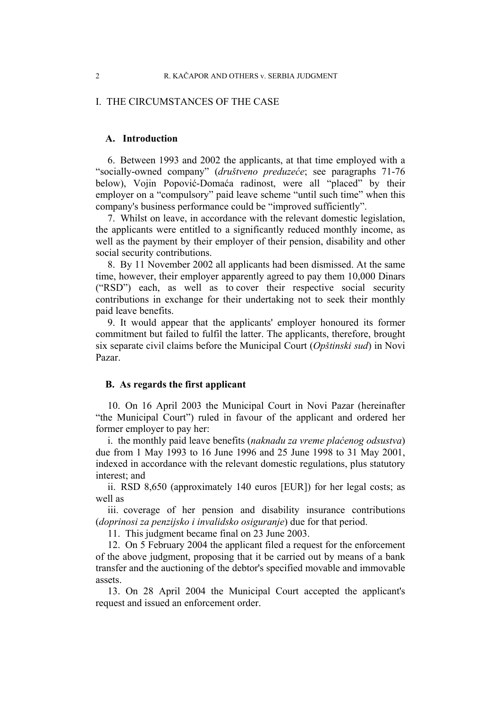### I. THE CIRCUMSTANCES OF THE CASE

### **A. Introduction**

6. Between 1993 and 2002 the applicants, at that time employed with a "socially-owned company" (*društveno preduzeće*; see paragraphs 71-76 below), Vojin Popović-Domaća radinost, were all "placed" by their employer on a "compulsory" paid leave scheme "until such time" when this company's business performance could be "improved sufficiently".

7. Whilst on leave, in accordance with the relevant domestic legislation, the applicants were entitled to a significantly reduced monthly income, as well as the payment by their employer of their pension, disability and other social security contributions.

8. By 11 November 2002 all applicants had been dismissed. At the same time, however, their employer apparently agreed to pay them 10,000 Dinars ("RSD") each, as well as to cover their respective social security contributions in exchange for their undertaking not to seek their monthly paid leave benefits.

9. It would appear that the applicants' employer honoured its former commitment but failed to fulfil the latter. The applicants, therefore, brought six separate civil claims before the Municipal Court (*Opštinski sud*) in Novi Pazar.

### **B. As regards the first applicant**

10. On 16 April 2003 the Municipal Court in Novi Pazar (hereinafter "the Municipal Court") ruled in favour of the applicant and ordered her former employer to pay her:

i. the monthly paid leave benefits (*naknadu za vreme plaćenog odsustva*) due from 1 May 1993 to 16 June 1996 and 25 June 1998 to 31 May 2001, indexed in accordance with the relevant domestic regulations, plus statutory interest; and

ii. RSD 8,650 (approximately 140 euros [EUR]) for her legal costs; as well as

iii. coverage of her pension and disability insurance contributions (*doprinosi za penzijsko i invalidsko osiguranje*) due for that period.

11. This judgment became final on 23 June 2003.

12. On 5 February 2004 the applicant filed a request for the enforcement of the above judgment, proposing that it be carried out by means of a bank transfer and the auctioning of the debtor's specified movable and immovable assets.

13. On 28 April 2004 the Municipal Court accepted the applicant's request and issued an enforcement order.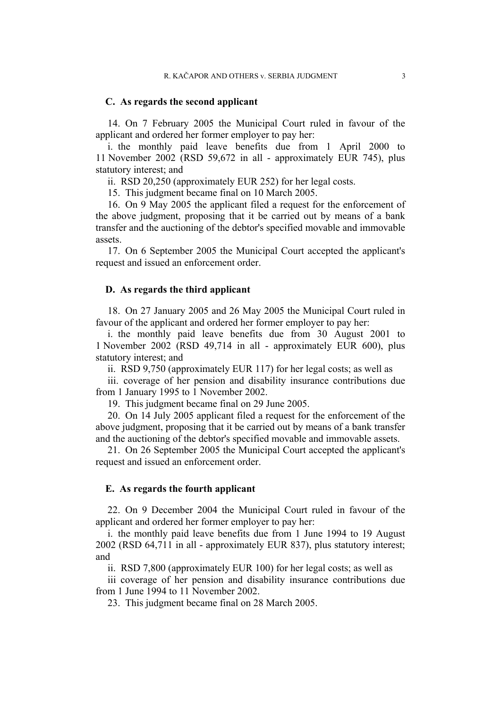### **C. As regards the second applicant**

14. On 7 February 2005 the Municipal Court ruled in favour of the applicant and ordered her former employer to pay her:

i. the monthly paid leave benefits due from 1 April 2000 to 11 November 2002 (RSD 59,672 in all - approximately EUR 745), plus statutory interest; and

ii. RSD 20,250 (approximately EUR 252) for her legal costs.

15. This judgment became final on 10 March 2005.

16. On 9 May 2005 the applicant filed a request for the enforcement of the above judgment, proposing that it be carried out by means of a bank transfer and the auctioning of the debtor's specified movable and immovable assets.

17. On 6 September 2005 the Municipal Court accepted the applicant's request and issued an enforcement order.

### **D. As regards the third applicant**

18. On 27 January 2005 and 26 May 2005 the Municipal Court ruled in favour of the applicant and ordered her former employer to pay her:

i. the monthly paid leave benefits due from 30 August 2001 to 1 November 2002 (RSD 49,714 in all - approximately EUR 600), plus statutory interest; and

ii. RSD 9,750 (approximately EUR 117) for her legal costs; as well as

iii. coverage of her pension and disability insurance contributions due from 1 January 1995 to 1 November 2002.

19. This judgment became final on 29 June 2005.

20. On 14 July 2005 applicant filed a request for the enforcement of the above judgment, proposing that it be carried out by means of a bank transfer and the auctioning of the debtor's specified movable and immovable assets.

21. On 26 September 2005 the Municipal Court accepted the applicant's request and issued an enforcement order.

#### **E. As regards the fourth applicant**

22. On 9 December 2004 the Municipal Court ruled in favour of the applicant and ordered her former employer to pay her:

i. the monthly paid leave benefits due from 1 June 1994 to 19 August 2002 (RSD 64,711 in all - approximately EUR 837), plus statutory interest; and

ii. RSD 7,800 (approximately EUR 100) for her legal costs; as well as

iii coverage of her pension and disability insurance contributions due from 1 June 1994 to 11 November 2002.

23. This judgment became final on 28 March 2005.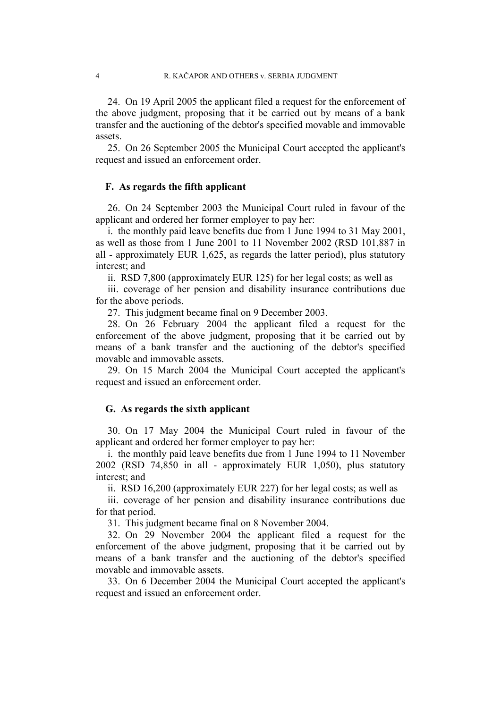24. On 19 April 2005 the applicant filed a request for the enforcement of the above judgment, proposing that it be carried out by means of a bank transfer and the auctioning of the debtor's specified movable and immovable assets.

25. On 26 September 2005 the Municipal Court accepted the applicant's request and issued an enforcement order.

### **F. As regards the fifth applicant**

26. On 24 September 2003 the Municipal Court ruled in favour of the applicant and ordered her former employer to pay her:

i. the monthly paid leave benefits due from 1 June 1994 to 31 May 2001, as well as those from 1 June 2001 to 11 November 2002 (RSD 101,887 in all - approximately EUR 1,625, as regards the latter period), plus statutory interest; and

ii. RSD 7,800 (approximately EUR 125) for her legal costs; as well as

iii. coverage of her pension and disability insurance contributions due for the above periods.

27. This judgment became final on 9 December 2003.

28. On 26 February 2004 the applicant filed a request for the enforcement of the above judgment, proposing that it be carried out by means of a bank transfer and the auctioning of the debtor's specified movable and immovable assets.

29. On 15 March 2004 the Municipal Court accepted the applicant's request and issued an enforcement order.

### **G. As regards the sixth applicant**

30. On 17 May 2004 the Municipal Court ruled in favour of the applicant and ordered her former employer to pay her:

i. the monthly paid leave benefits due from 1 June 1994 to 11 November 2002 (RSD 74,850 in all - approximately EUR 1,050), plus statutory interest; and

ii. RSD 16,200 (approximately EUR 227) for her legal costs; as well as

iii. coverage of her pension and disability insurance contributions due for that period.

31. This judgment became final on 8 November 2004.

32. On 29 November 2004 the applicant filed a request for the enforcement of the above judgment, proposing that it be carried out by means of a bank transfer and the auctioning of the debtor's specified movable and immovable assets.

33. On 6 December 2004 the Municipal Court accepted the applicant's request and issued an enforcement order.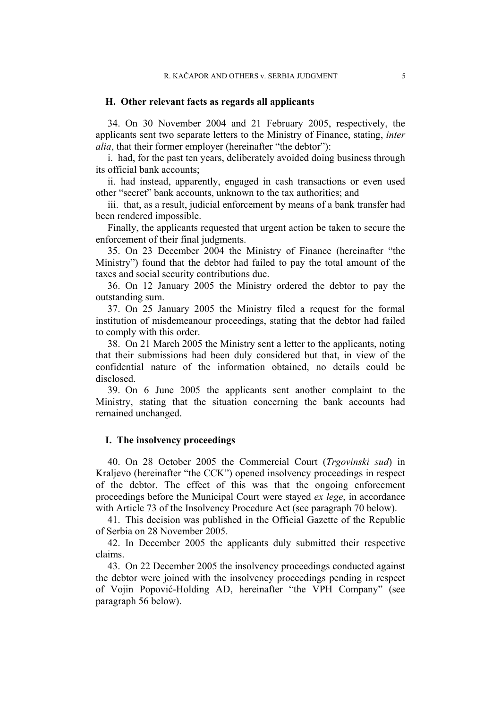### **H. Other relevant facts as regards all applicants**

34. On 30 November 2004 and 21 February 2005, respectively, the applicants sent two separate letters to the Ministry of Finance, stating, *inter alia*, that their former employer (hereinafter "the debtor"):

i. had, for the past ten years, deliberately avoided doing business through its official bank accounts;

ii. had instead, apparently, engaged in cash transactions or even used other "secret" bank accounts, unknown to the tax authorities; and

iii. that, as a result, judicial enforcement by means of a bank transfer had been rendered impossible.

Finally, the applicants requested that urgent action be taken to secure the enforcement of their final judgments.

35. On 23 December 2004 the Ministry of Finance (hereinafter "the Ministry") found that the debtor had failed to pay the total amount of the taxes and social security contributions due.

36. On 12 January 2005 the Ministry ordered the debtor to pay the outstanding sum.

37. On 25 January 2005 the Ministry filed a request for the formal institution of misdemeanour proceedings, stating that the debtor had failed to comply with this order.

38. On 21 March 2005 the Ministry sent a letter to the applicants, noting that their submissions had been duly considered but that, in view of the confidential nature of the information obtained, no details could be disclosed.

39. On 6 June 2005 the applicants sent another complaint to the Ministry, stating that the situation concerning the bank accounts had remained unchanged.

### **I. The insolvency proceedings**

40. On 28 October 2005 the Commercial Court (*Trgovinski sud*) in Kraljevo (hereinafter "the CCK") opened insolvency proceedings in respect of the debtor. The effect of this was that the ongoing enforcement proceedings before the Municipal Court were stayed *ex lege*, in accordance with Article 73 of the Insolvency Procedure Act (see paragraph 70 below).

41. This decision was published in the Official Gazette of the Republic of Serbia on 28 November 2005.

42. In December 2005 the applicants duly submitted their respective claims.

43. On 22 December 2005 the insolvency proceedings conducted against the debtor were joined with the insolvency proceedings pending in respect of Vojin Popović-Holding AD, hereinafter "the VPH Company" (see paragraph 56 below).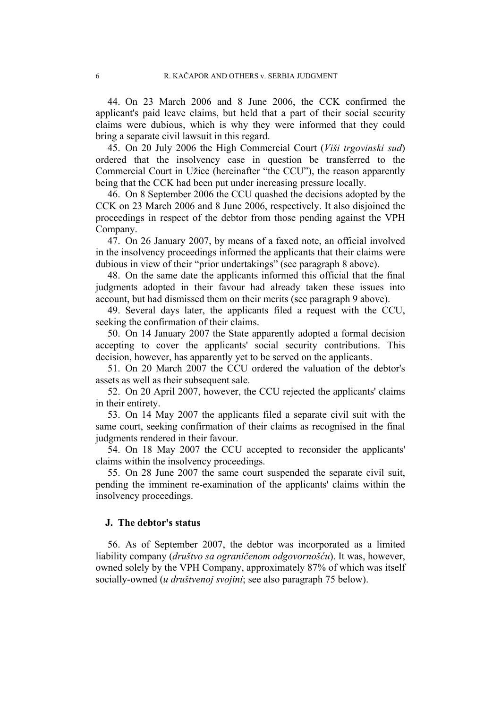44. On 23 March 2006 and 8 June 2006, the CCK confirmed the applicant's paid leave claims, but held that a part of their social security claims were dubious, which is why they were informed that they could bring a separate civil lawsuit in this regard.

45. On 20 July 2006 the High Commercial Court (*Viši trgovinski sud*) ordered that the insolvency case in question be transferred to the Commercial Court in Užice (hereinafter "the CCU"), the reason apparently being that the CCK had been put under increasing pressure locally.

46. On 8 September 2006 the CCU quashed the decisions adopted by the CCK on 23 March 2006 and 8 June 2006, respectively. It also disjoined the proceedings in respect of the debtor from those pending against the VPH Company.

47. On 26 January 2007, by means of a faxed note, an official involved in the insolvency proceedings informed the applicants that their claims were dubious in view of their "prior undertakings" (see paragraph 8 above).

48. On the same date the applicants informed this official that the final judgments adopted in their favour had already taken these issues into account, but had dismissed them on their merits (see paragraph 9 above).

49. Several days later, the applicants filed a request with the CCU, seeking the confirmation of their claims.

50. On 14 January 2007 the State apparently adopted a formal decision accepting to cover the applicants' social security contributions. This decision, however, has apparently yet to be served on the applicants.

51. On 20 March 2007 the CCU ordered the valuation of the debtor's assets as well as their subsequent sale.

52. On 20 April 2007, however, the CCU rejected the applicants' claims in their entirety.

53. On 14 May 2007 the applicants filed a separate civil suit with the same court, seeking confirmation of their claims as recognised in the final judgments rendered in their favour.

54. On 18 May 2007 the CCU accepted to reconsider the applicants' claims within the insolvency proceedings.

55. On 28 June 2007 the same court suspended the separate civil suit, pending the imminent re-examination of the applicants' claims within the insolvency proceedings.

### **J. The debtor's status**

56. As of September 2007, the debtor was incorporated as a limited liability company (*društvo sa ograničenom odgovornošću*). It was, however, owned solely by the VPH Company, approximately 87% of which was itself socially-owned (*u društvenoj svojini*; see also paragraph 75 below).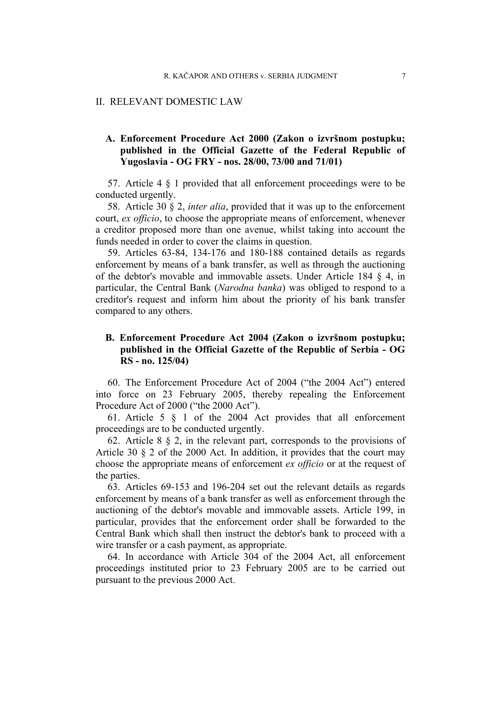#### II. RELEVANT DOMESTIC LAW

### **A. Enforcement Procedure Act 2000 (Zakon o izvršnom postupku; published in the Official Gazette of the Federal Republic of Yugoslavia - OG FRY - nos. 28/00, 73/00 and 71/01)**

57. Article 4 § 1 provided that all enforcement proceedings were to be conducted urgently.

58. Article 30 § 2, *inter alia*, provided that it was up to the enforcement court, *ex officio*, to choose the appropriate means of enforcement, whenever a creditor proposed more than one avenue, whilst taking into account the funds needed in order to cover the claims in question.

59. Articles 63-84, 134-176 and 180-188 contained details as regards enforcement by means of a bank transfer, as well as through the auctioning of the debtor's movable and immovable assets. Under Article 184 § 4, in particular, the Central Bank (*Narodna banka*) was obliged to respond to a creditor's request and inform him about the priority of his bank transfer compared to any others.

### **B. Enforcement Procedure Act 2004 (Zakon o izvršnom postupku; published in the Official Gazette of the Republic of Serbia - OG RS - no. 125/04)**

60. The Enforcement Procedure Act of 2004 ("the 2004 Act") entered into force on 23 February 2005, thereby repealing the Enforcement Procedure Act of 2000 ("the 2000 Act").

61. Article 5 § 1 of the 2004 Act provides that all enforcement proceedings are to be conducted urgently.

62. Article 8  $\S$  2, in the relevant part, corresponds to the provisions of Article 30 § 2 of the 2000 Act. In addition, it provides that the court may choose the appropriate means of enforcement *ex officio* or at the request of the parties.

63. Articles 69-153 and 196-204 set out the relevant details as regards enforcement by means of a bank transfer as well as enforcement through the auctioning of the debtor's movable and immovable assets. Article 199, in particular, provides that the enforcement order shall be forwarded to the Central Bank which shall then instruct the debtor's bank to proceed with a wire transfer or a cash payment, as appropriate.

64. In accordance with Article 304 of the 2004 Act, all enforcement proceedings instituted prior to 23 February 2005 are to be carried out pursuant to the previous 2000 Act.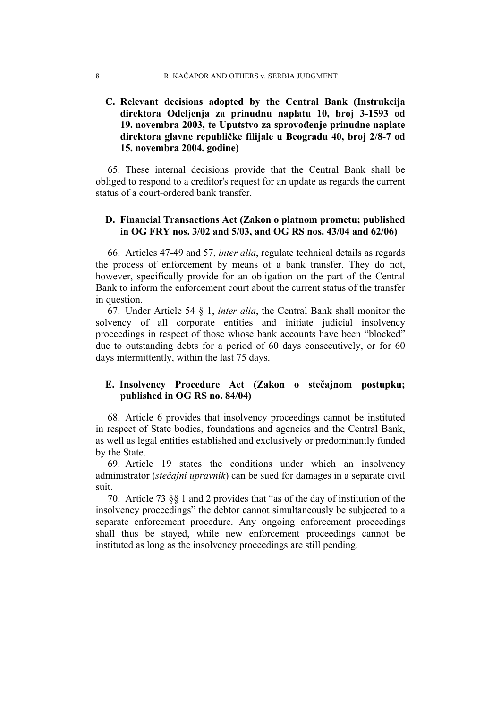#### 8 R. KAČAPOR AND OTHERS v. SERBIA JUDGMENT

### **C. Relevant decisions adopted by the Central Bank (Instrukcija direktora Odeljenja za prinudnu naplatu 10, broj 3-1593 od 19. novembra 2003, te Uputstvo za sprovođenje prinudne naplate direktora glavne republičke filijale u Beogradu 40, broj 2/8-7 od 15. novembra 2004. godine)**

65. These internal decisions provide that the Central Bank shall be obliged to respond to a creditor's request for an update as regards the current status of a court-ordered bank transfer.

### **D. Financial Transactions Act (Zakon o platnom prometu; published in OG FRY nos. 3/02 and 5/03, and OG RS nos. 43/04 and 62/06)**

66. Articles 47-49 and 57, *inter alia*, regulate technical details as regards the process of enforcement by means of a bank transfer. They do not, however, specifically provide for an obligation on the part of the Central Bank to inform the enforcement court about the current status of the transfer in question.

67. Under Article 54 § 1, *inter alia*, the Central Bank shall monitor the solvency of all corporate entities and initiate judicial insolvency proceedings in respect of those whose bank accounts have been "blocked" due to outstanding debts for a period of 60 days consecutively, or for 60 days intermittently, within the last 75 days.

### **E. Insolvency Procedure Act (Zakon o stečajnom postupku; published in OG RS no. 84/04)**

68. Article 6 provides that insolvency proceedings cannot be instituted in respect of State bodies, foundations and agencies and the Central Bank, as well as legal entities established and exclusively or predominantly funded by the State.

69. Article 19 states the conditions under which an insolvency administrator (*stečajni upravnik*) can be sued for damages in a separate civil suit.

70. Article 73 §§ 1 and 2 provides that "as of the day of institution of the insolvency proceedings" the debtor cannot simultaneously be subjected to a separate enforcement procedure. Any ongoing enforcement proceedings shall thus be stayed, while new enforcement proceedings cannot be instituted as long as the insolvency proceedings are still pending.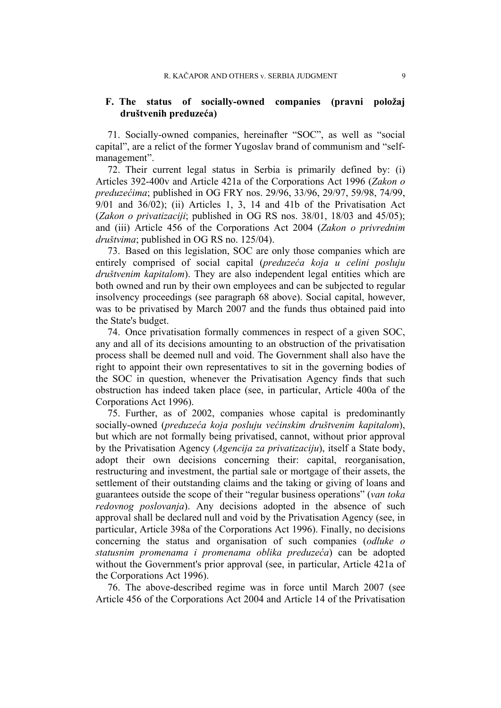### **F. The status of socially-owned companies (pravni položaj društvenih preduzeća)**

71. Socially-owned companies, hereinafter "SOC", as well as "social capital", are a relict of the former Yugoslav brand of communism and "selfmanagement".

72. Their current legal status in Serbia is primarily defined by: (i) Articles 392-400v and Article 421a of the Corporations Act 1996 (*Zakon o preduzećima*; published in OG FRY nos. 29/96, 33/96, 29/97, 59/98, 74/99, 9/01 and 36/02); (ii) Articles 1, 3, 14 and 41b of the Privatisation Act (*Zakon o privatizaciji*; published in OG RS nos. 38/01, 18/03 and 45/05); and (iii) Article 456 of the Corporations Act 2004 (*Zakon o privrednim društvima*; published in OG RS no. 125/04).

73. Based on this legislation, SOC are only those companies which are entirely comprised of social capital (*preduzeća koja u celini posluju društvenim kapitalom*). They are also independent legal entities which are both owned and run by their own employees and can be subjected to regular insolvency proceedings (see paragraph 68 above). Social capital, however, was to be privatised by March 2007 and the funds thus obtained paid into the State's budget.

74. Once privatisation formally commences in respect of a given SOC, any and all of its decisions amounting to an obstruction of the privatisation process shall be deemed null and void. The Government shall also have the right to appoint their own representatives to sit in the governing bodies of the SOC in question, whenever the Privatisation Agency finds that such obstruction has indeed taken place (see, in particular, Article 400a of the Corporations Act 1996).

75. Further, as of 2002, companies whose capital is predominantly socially-owned (*preduzeća koja posluju većinskim društvenim kapitalom*), but which are not formally being privatised, cannot, without prior approval by the Privatisation Agency (*Agencija za privatizaciju*), itself a State body, adopt their own decisions concerning their: capital, reorganisation, restructuring and investment, the partial sale or mortgage of their assets, the settlement of their outstanding claims and the taking or giving of loans and guarantees outside the scope of their "regular business operations" (*van toka redovnog poslovanja*). Any decisions adopted in the absence of such approval shall be declared null and void by the Privatisation Agency (see, in particular, Article 398a of the Corporations Act 1996). Finally, no decisions concerning the status and organisation of such companies (*odluke o statusnim promenama i promenama oblika preduzeća*) can be adopted without the Government's prior approval (see, in particular, Article 421a of the Corporations Act 1996).

76. The above-described regime was in force until March 2007 (see Article 456 of the Corporations Act 2004 and Article 14 of the Privatisation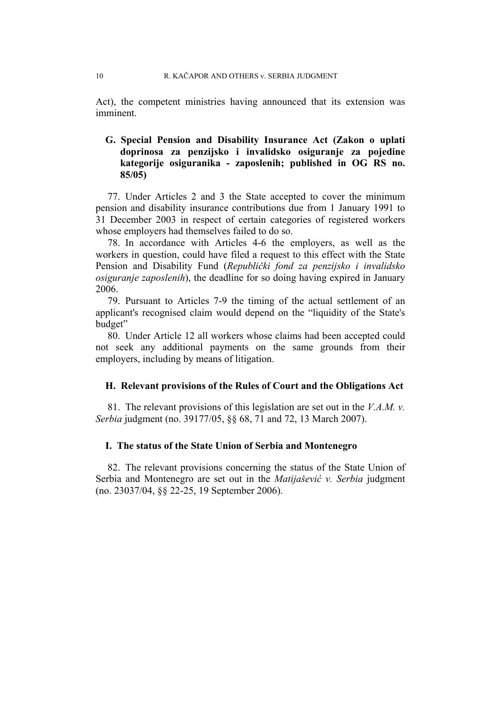Act), the competent ministries having announced that its extension was imminent.

### **G. Special Pension and Disability Insurance Act (Zakon o uplati doprinosa za penzijsko i invalidsko osiguranje za pojedine kategorije osiguranika - zaposlenih; published in OG RS no. 85/05)**

77. Under Articles 2 and 3 the State accepted to cover the minimum pension and disability insurance contributions due from 1 January 1991 to 31 December 2003 in respect of certain categories of registered workers whose employers had themselves failed to do so.

78. In accordance with Articles 4-6 the employers, as well as the workers in question, could have filed a request to this effect with the State Pension and Disability Fund (*Republički fond za penzijsko i invalidsko osiguranje zaposlenih*), the deadline for so doing having expired in January 2006.

79. Pursuant to Articles 7-9 the timing of the actual settlement of an applicant's recognised claim would depend on the "liquidity of the State's budget"

80. Under Article 12 all workers whose claims had been accepted could not seek any additional payments on the same grounds from their employers, including by means of litigation.

### **H. Relevant provisions of the Rules of Court and the Obligations Act**

81. The relevant provisions of this legislation are set out in the *V.A.M. v. Serbia* judgment (no. 39177/05, §§ 68, 71 and 72, 13 March 2007).

### **I. The status of the State Union of Serbia and Montenegro**

82. The relevant provisions concerning the status of the State Union of Serbia and Montenegro are set out in the *Matijašević v. Serbia* judgment (no. 23037/04, §§ 22-25, 19 September 2006).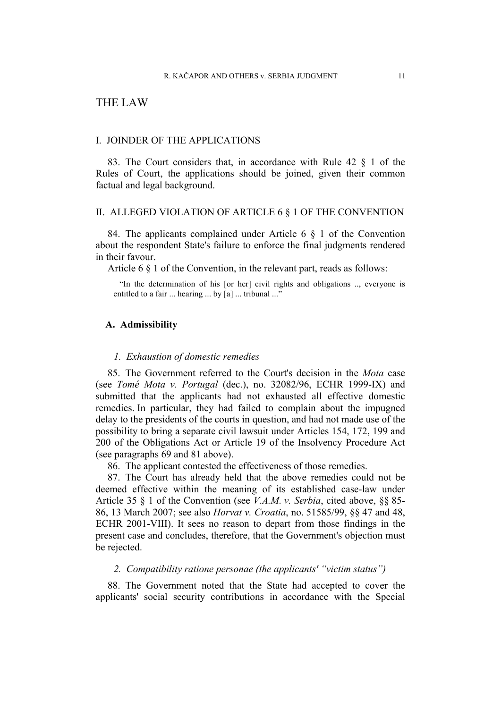### THE LAW

#### I. JOINDER OF THE APPLICATIONS

83. The Court considers that, in accordance with Rule 42 § 1 of the Rules of Court, the applications should be joined, given their common factual and legal background.

### II. ALLEGED VIOLATION OF ARTICLE 6 § 1 OF THE CONVENTION

84. The applicants complained under Article 6  $\S$  1 of the Convention about the respondent State's failure to enforce the final judgments rendered in their favour.

Article 6 § 1 of the Convention, in the relevant part, reads as follows:

"In the determination of his [or her] civil rights and obligations .., everyone is entitled to a fair ... hearing ... by [a] ... tribunal ..."

#### **A. Admissibility**

#### *1. Exhaustion of domestic remedies*

85. The Government referred to the Court's decision in the *Mota* case (see *Tomé Mota v. Portugal* (dec.), no. 32082/96, ECHR 1999-IX) and submitted that the applicants had not exhausted all effective domestic remedies. In particular, they had failed to complain about the impugned delay to the presidents of the courts in question, and had not made use of the possibility to bring a separate civil lawsuit under Articles 154, 172, 199 and 200 of the Obligations Act or Article 19 of the Insolvency Procedure Act (see paragraphs 69 and 81 above).

86. The applicant contested the effectiveness of those remedies.

87. The Court has already held that the above remedies could not be deemed effective within the meaning of its established case-law under Article 35 § 1 of the Convention (see *V.A.M. v. Serbia*, cited above, §§ 85- 86, 13 March 2007; see also *Horvat v. Croatia*, no. 51585/99, §§ 47 and 48, ECHR 2001-VIII). It sees no reason to depart from those findings in the present case and concludes, therefore, that the Government's objection must be rejected.

### *2. Compatibility ratione personae (the applicants' "victim status")*

88. The Government noted that the State had accepted to cover the applicants' social security contributions in accordance with the Special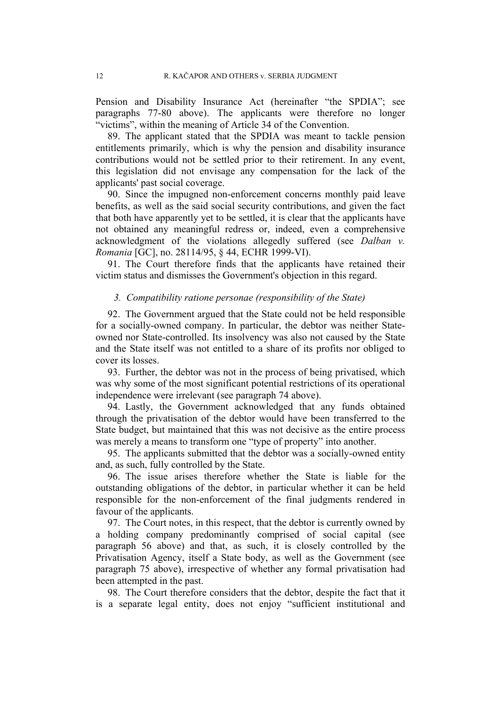Pension and Disability Insurance Act (hereinafter "the SPDIA"; see paragraphs 77-80 above). The applicants were therefore no longer "victims", within the meaning of Article 34 of the Convention.

89. The applicant stated that the SPDIA was meant to tackle pension entitlements primarily, which is why the pension and disability insurance contributions would not be settled prior to their retirement. In any event, this legislation did not envisage any compensation for the lack of the applicants' past social coverage.

90. Since the impugned non-enforcement concerns monthly paid leave benefits, as well as the said social security contributions, and given the fact that both have apparently yet to be settled, it is clear that the applicants have not obtained any meaningful redress or, indeed, even a comprehensive acknowledgment of the violations allegedly suffered (see *Dalban v. Romania* [GC], no. 28114/95, § 44, ECHR 1999-VI).

91. The Court therefore finds that the applicants have retained their victim status and dismisses the Government's objection in this regard.

### *3. Compatibility ratione personae (responsibility of the State)*

92. The Government argued that the State could not be held responsible for a socially-owned company. In particular, the debtor was neither Stateowned nor State-controlled. Its insolvency was also not caused by the State and the State itself was not entitled to a share of its profits nor obliged to cover its losses.

93. Further, the debtor was not in the process of being privatised, which was why some of the most significant potential restrictions of its operational independence were irrelevant (see paragraph 74 above).

94. Lastly, the Government acknowledged that any funds obtained through the privatisation of the debtor would have been transferred to the State budget, but maintained that this was not decisive as the entire process was merely a means to transform one "type of property" into another.

95. The applicants submitted that the debtor was a socially-owned entity and, as such, fully controlled by the State.

96. The issue arises therefore whether the State is liable for the outstanding obligations of the debtor, in particular whether it can be held responsible for the non-enforcement of the final judgments rendered in favour of the applicants.

97. The Court notes, in this respect, that the debtor is currently owned by a holding company predominantly comprised of social capital (see paragraph 56 above) and that, as such, it is closely controlled by the Privatisation Agency, itself a State body, as well as the Government (see paragraph 75 above), irrespective of whether any formal privatisation had been attempted in the past.

98. The Court therefore considers that the debtor, despite the fact that it is a separate legal entity, does not enjoy "sufficient institutional and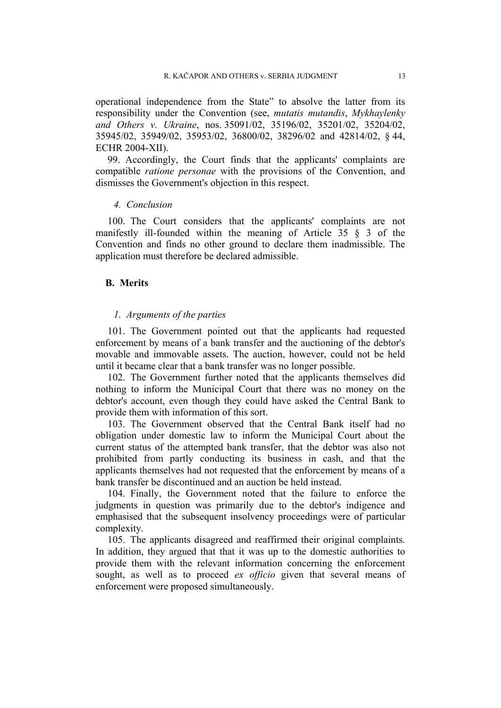operational independence from the State" to absolve the latter from its responsibility under the Convention (see, *mutatis mutandis*, *Mykhaylenky and Others v. Ukraine*, nos. 35091/02, 35196/02, 35201/02, 35204/02, 35945/02, 35949/02, 35953/02, 36800/02, 38296/02 and 42814/02, § 44, ECHR 2004-XII).

99. Accordingly, the Court finds that the applicants' complaints are compatible *ratione personae* with the provisions of the Convention, and dismisses the Government's objection in this respect.

#### *4. Conclusion*

100. The Court considers that the applicants' complaints are not manifestly ill-founded within the meaning of Article 35 § 3 of the Convention and finds no other ground to declare them inadmissible. The application must therefore be declared admissible.

### **B. Merits**

### *1. Arguments of the parties*

101. The Government pointed out that the applicants had requested enforcement by means of a bank transfer and the auctioning of the debtor's movable and immovable assets. The auction, however, could not be held until it became clear that a bank transfer was no longer possible.

102. The Government further noted that the applicants themselves did nothing to inform the Municipal Court that there was no money on the debtor's account, even though they could have asked the Central Bank to provide them with information of this sort.

103. The Government observed that the Central Bank itself had no obligation under domestic law to inform the Municipal Court about the current status of the attempted bank transfer, that the debtor was also not prohibited from partly conducting its business in cash, and that the applicants themselves had not requested that the enforcement by means of a bank transfer be discontinued and an auction be held instead.

104. Finally, the Government noted that the failure to enforce the judgments in question was primarily due to the debtor's indigence and emphasised that the subsequent insolvency proceedings were of particular complexity.

105. The applicants disagreed and reaffirmed their original complaints. In addition, they argued that that it was up to the domestic authorities to provide them with the relevant information concerning the enforcement sought, as well as to proceed *ex officio* given that several means of enforcement were proposed simultaneously.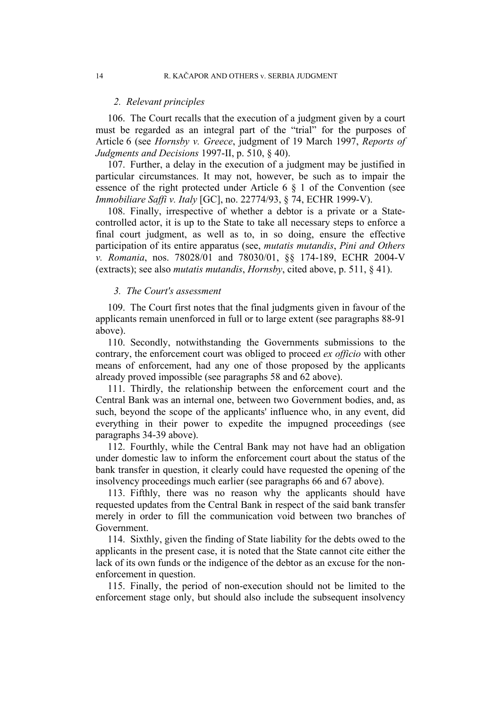#### *2. Relevant principles*

106. The Court recalls that the execution of a judgment given by a court must be regarded as an integral part of the "trial" for the purposes of Article 6 (see *Hornsby v. Greece*, judgment of 19 March 1997, *Reports of Judgments and Decisions* 1997-II, p. 510, § 40).

107. Further, a delay in the execution of a judgment may be justified in particular circumstances. It may not, however, be such as to impair the essence of the right protected under Article 6 § 1 of the Convention (see *Immobiliare Saffi v. Italy* [GC], no. 22774/93, § 74, ECHR 1999-V).

108. Finally, irrespective of whether a debtor is a private or a Statecontrolled actor, it is up to the State to take all necessary steps to enforce a final court judgment, as well as to, in so doing, ensure the effective participation of its entire apparatus (see, *mutatis mutandis*, *Pini and Others v. Romania*, nos. 78028/01 and 78030/01, §§ 174-189, ECHR 2004-V (extracts); see also *mutatis mutandis*, *Hornsby*, cited above, p. 511, § 41).

### *3. The Court's assessment*

109. The Court first notes that the final judgments given in favour of the applicants remain unenforced in full or to large extent (see paragraphs 88-91 above).

110. Secondly, notwithstanding the Governments submissions to the contrary, the enforcement court was obliged to proceed *ex officio* with other means of enforcement, had any one of those proposed by the applicants already proved impossible (see paragraphs 58 and 62 above).

111. Thirdly, the relationship between the enforcement court and the Central Bank was an internal one, between two Government bodies, and, as such, beyond the scope of the applicants' influence who, in any event, did everything in their power to expedite the impugned proceedings (see paragraphs 34-39 above).

112. Fourthly, while the Central Bank may not have had an obligation under domestic law to inform the enforcement court about the status of the bank transfer in question, it clearly could have requested the opening of the insolvency proceedings much earlier (see paragraphs 66 and 67 above).

113. Fifthly, there was no reason why the applicants should have requested updates from the Central Bank in respect of the said bank transfer merely in order to fill the communication void between two branches of Government.

114. Sixthly, given the finding of State liability for the debts owed to the applicants in the present case, it is noted that the State cannot cite either the lack of its own funds or the indigence of the debtor as an excuse for the nonenforcement in question.

115. Finally, the period of non-execution should not be limited to the enforcement stage only, but should also include the subsequent insolvency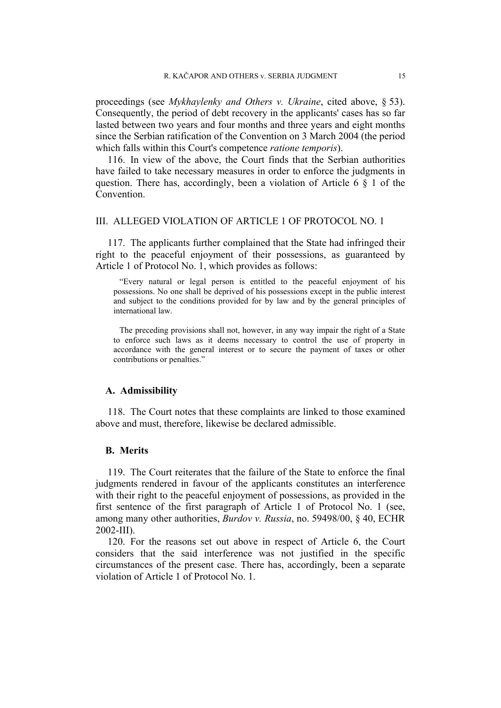proceedings (see *Mykhaylenky and Others v. Ukraine*, cited above, § 53). Consequently, the period of debt recovery in the applicants' cases has so far lasted between two years and four months and three years and eight months since the Serbian ratification of the Convention on 3 March 2004 (the period which falls within this Court's competence *ratione temporis*).

116. In view of the above, the Court finds that the Serbian authorities have failed to take necessary measures in order to enforce the judgments in question. There has, accordingly, been a violation of Article 6 § 1 of the Convention.

### III. ALLEGED VIOLATION OF ARTICLE 1 OF PROTOCOL NO. 1

117. The applicants further complained that the State had infringed their right to the peaceful enjoyment of their possessions, as guaranteed by Article 1 of Protocol No. 1, which provides as follows:

"Every natural or legal person is entitled to the peaceful enjoyment of his possessions. No one shall be deprived of his possessions except in the public interest and subject to the conditions provided for by law and by the general principles of international law.

The preceding provisions shall not, however, in any way impair the right of a State to enforce such laws as it deems necessary to control the use of property in accordance with the general interest or to secure the payment of taxes or other contributions or penalties."

#### **A. Admissibility**

118. The Court notes that these complaints are linked to those examined above and must, therefore, likewise be declared admissible.

### **B. Merits**

119. The Court reiterates that the failure of the State to enforce the final judgments rendered in favour of the applicants constitutes an interference with their right to the peaceful enjoyment of possessions, as provided in the first sentence of the first paragraph of Article 1 of Protocol No. 1 (see, among many other authorities, *Burdov v. Russia*, no. 59498/00, § 40, ECHR 2002-III).

120. For the reasons set out above in respect of Article 6, the Court considers that the said interference was not justified in the specific circumstances of the present case. There has, accordingly, been a separate violation of Article 1 of Protocol No. 1.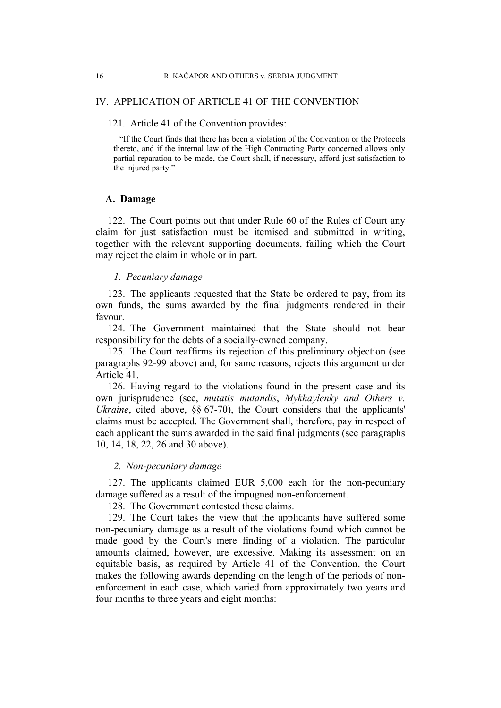### IV. APPLICATION OF ARTICLE 41 OF THE CONVENTION

### 121. Article 41 of the Convention provides:

"If the Court finds that there has been a violation of the Convention or the Protocols thereto, and if the internal law of the High Contracting Party concerned allows only partial reparation to be made, the Court shall, if necessary, afford just satisfaction to the injured party."

### **A. Damage**

122. The Court points out that under Rule 60 of the Rules of Court any claim for just satisfaction must be itemised and submitted in writing, together with the relevant supporting documents, failing which the Court may reject the claim in whole or in part.

### *1. Pecuniary damage*

123. The applicants requested that the State be ordered to pay, from its own funds, the sums awarded by the final judgments rendered in their favour.

124. The Government maintained that the State should not bear responsibility for the debts of a socially-owned company.

125. The Court reaffirms its rejection of this preliminary objection (see paragraphs 92-99 above) and, for same reasons, rejects this argument under Article 41.

126. Having regard to the violations found in the present case and its own jurisprudence (see, *mutatis mutandis*, *Mykhaylenky and Others v. Ukraine*, cited above,  $\frac{6}{6}$  67-70), the Court considers that the applicants' claims must be accepted. The Government shall, therefore, pay in respect of each applicant the sums awarded in the said final judgments (see paragraphs 10, 14, 18, 22, 26 and 30 above).

### *2. Non-pecuniary damage*

127. The applicants claimed EUR 5,000 each for the non-pecuniary damage suffered as a result of the impugned non-enforcement.

128. The Government contested these claims.

129. The Court takes the view that the applicants have suffered some non-pecuniary damage as a result of the violations found which cannot be made good by the Court's mere finding of a violation. The particular amounts claimed, however, are excessive. Making its assessment on an equitable basis, as required by Article 41 of the Convention, the Court makes the following awards depending on the length of the periods of nonenforcement in each case, which varied from approximately two years and four months to three years and eight months: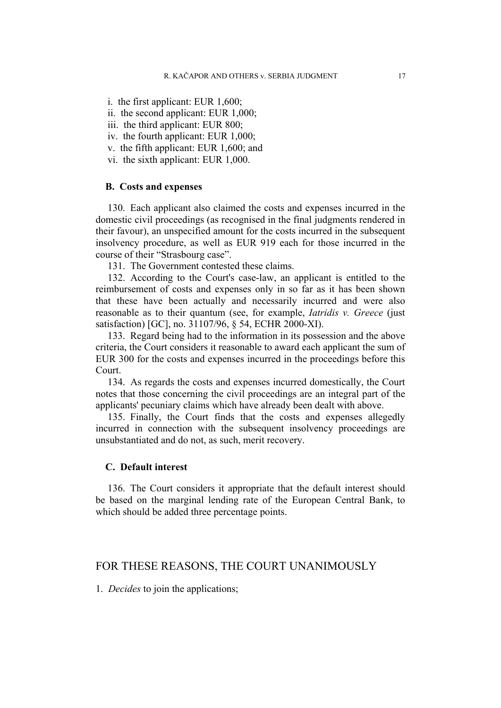- i. the first applicant: EUR 1,600;
- ii. the second applicant: EUR 1,000;
- iii. the third applicant: EUR 800;
- iv. the fourth applicant: EUR 1,000;
- v. the fifth applicant: EUR 1,600; and
- vi. the sixth applicant: EUR 1,000.

#### **B. Costs and expenses**

130. Each applicant also claimed the costs and expenses incurred in the domestic civil proceedings (as recognised in the final judgments rendered in their favour), an unspecified amount for the costs incurred in the subsequent insolvency procedure, as well as EUR 919 each for those incurred in the course of their "Strasbourg case".

131. The Government contested these claims.

132. According to the Court's case-law, an applicant is entitled to the reimbursement of costs and expenses only in so far as it has been shown that these have been actually and necessarily incurred and were also reasonable as to their quantum (see, for example, *Iatridis v. Greece* (just satisfaction) [GC], no. 31107/96, § 54, ECHR 2000-XI).

133. Regard being had to the information in its possession and the above criteria, the Court considers it reasonable to award each applicant the sum of EUR 300 for the costs and expenses incurred in the proceedings before this Court.

134. As regards the costs and expenses incurred domestically, the Court notes that those concerning the civil proceedings are an integral part of the applicants' pecuniary claims which have already been dealt with above.

135. Finally, the Court finds that the costs and expenses allegedly incurred in connection with the subsequent insolvency proceedings are unsubstantiated and do not, as such, merit recovery.

### **C. Default interest**

136. The Court considers it appropriate that the default interest should be based on the marginal lending rate of the European Central Bank, to which should be added three percentage points.

### FOR THESE REASONS, THE COURT UNANIMOUSLY

1. *Decides* to join the applications;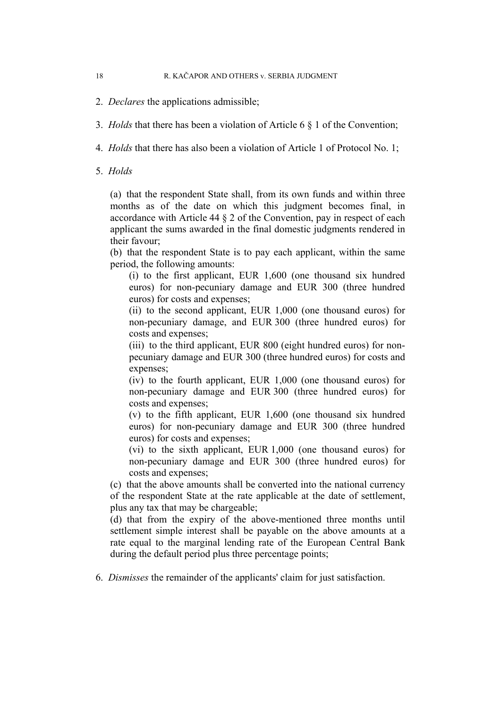- 2. *Declares* the applications admissible;
- 3. *Holds* that there has been a violation of Article 6 § 1 of the Convention;
- 4. *Holds* that there has also been a violation of Article 1 of Protocol No. 1;
- 5. *Holds*

(a) that the respondent State shall, from its own funds and within three months as of the date on which this judgment becomes final, in accordance with Article 44 § 2 of the Convention, pay in respect of each applicant the sums awarded in the final domestic judgments rendered in their favour;

(b) that the respondent State is to pay each applicant, within the same period, the following amounts:

(i) to the first applicant, EUR 1,600 (one thousand six hundred euros) for non-pecuniary damage and EUR 300 (three hundred euros) for costs and expenses;

(ii) to the second applicant, EUR 1,000 (one thousand euros) for non-pecuniary damage, and EUR 300 (three hundred euros) for costs and expenses;

(iii) to the third applicant, EUR 800 (eight hundred euros) for nonpecuniary damage and EUR 300 (three hundred euros) for costs and expenses;

(iv) to the fourth applicant, EUR 1,000 (one thousand euros) for non-pecuniary damage and EUR 300 (three hundred euros) for costs and expenses;

(v) to the fifth applicant, EUR 1,600 (one thousand six hundred euros) for non-pecuniary damage and EUR 300 (three hundred euros) for costs and expenses;

(vi) to the sixth applicant, EUR 1,000 (one thousand euros) for non-pecuniary damage and EUR 300 (three hundred euros) for costs and expenses;

(c) that the above amounts shall be converted into the national currency of the respondent State at the rate applicable at the date of settlement, plus any tax that may be chargeable;

(d) that from the expiry of the above-mentioned three months until settlement simple interest shall be payable on the above amounts at a rate equal to the marginal lending rate of the European Central Bank during the default period plus three percentage points;

6. *Dismisses* the remainder of the applicants' claim for just satisfaction.